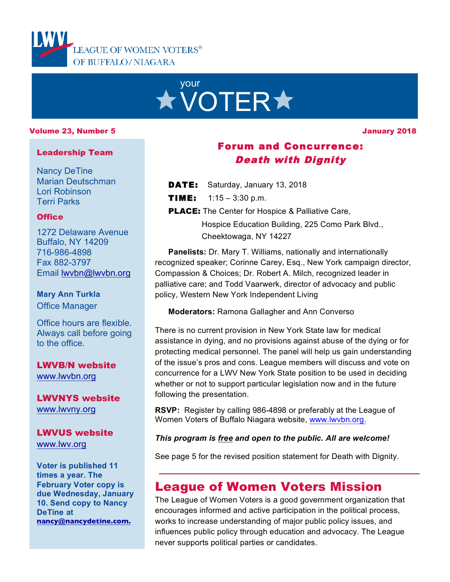



#### Volume 23, Number 5

January 2018

#### Leadership Team

Nancy DeTine Marian Deutschman Lori Robinson Terri Parks

### **Office**

1272 Delaware Avenue Buffalo, NY 14209 716-986-4898 Fax 882-3797 Email lwvbn@lwvbn.org

### **Mary Ann Turkla** Office Manager

Office hours are flexible. Always call before going to the office.

# LWVB/N website

www.lwvbn.org

LWVNYS website www.lwvny.org

## LWVUS website

www.lwv.org

**Voter is published 11 times a year. The February Voter copy is due Wednesday, January 10. Send copy to Nancy DeTine at nancy@nancydetine.com.**

# Forum and Concurrence: Death with Dignity

- **DATE:** Saturday, January 13, 2018
- **TIME:**  $1:15 3:30 \text{ p.m.}$
- **PLACE:** The Center for Hospice & Palliative Care,

 Hospice Education Building, 225 Como Park Blvd., Cheektowaga, NY 14227

**Panelists:** Dr. Mary T. Williams, nationally and internationally recognized speaker; Corinne Carey, Esq., New York campaign director, Compassion & Choices; Dr. Robert A. Milch, recognized leader in palliative care; and Todd Vaarwerk, director of advocacy and public policy, Western New York Independent Living

**Moderators:** Ramona Gallagher and Ann Converso

There is no current provision in New York State law for medical assistance in dying, and no provisions against abuse of the dying or for protecting medical personnel. The panel will help us gain understanding of the issue's pros and cons. League members will discuss and vote on concurrence for a LWV New York State position to be used in deciding whether or not to support particular legislation now and in the future following the presentation.

**RSVP:** Register by calling 986-4898 or preferably at the League of Women Voters of Buffalo Niagara website, www.lwvbn.org.

## *This program is free and open to the public. All are welcome!*

See page 5 for the revised position statement for Death with Dignity.

# League of Women Voters Mission

The League of Women Voters is a good government organization that encourages informed and active participation in the political process, works to increase understanding of major public policy issues, and influences public policy through education and advocacy. The League never supports political parties or candidates.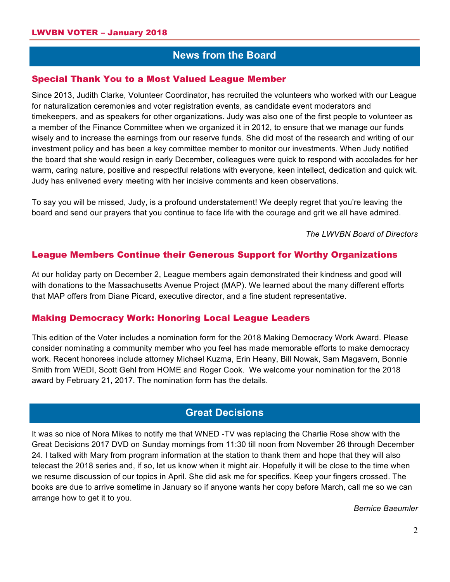## **News from the Board**

### Special Thank You to a Most Valued League Member

Since 2013, Judith Clarke, Volunteer Coordinator, has recruited the volunteers who worked with our League for naturalization ceremonies and voter registration events, as candidate event moderators and timekeepers, and as speakers for other organizations. Judy was also one of the first people to volunteer as a member of the Finance Committee when we organized it in 2012, to ensure that we manage our funds wisely and to increase the earnings from our reserve funds. She did most of the research and writing of our investment policy and has been a key committee member to monitor our investments. When Judy notified the board that she would resign in early December, colleagues were quick to respond with accolades for her warm, caring nature, positive and respectful relations with everyone, keen intellect, dedication and quick wit. Judy has enlivened every meeting with her incisive comments and keen observations.

To say you will be missed, Judy, is a profound understatement! We deeply regret that you're leaving the board and send our prayers that you continue to face life with the courage and grit we all have admired.

*The LWVBN Board of Directors*

## League Members Continue their Generous Support for Worthy Organizations

At our holiday party on December 2, League members again demonstrated their kindness and good will with donations to the Massachusetts Avenue Project (MAP). We learned about the many different efforts that MAP offers from Diane Picard, executive director, and a fine student representative.

#### Making Democracy Work: Honoring Local League Leaders

This edition of the Voter includes a nomination form for the 2018 Making Democracy Work Award. Please consider nominating a community member who you feel has made memorable efforts to make democracy work. Recent honorees include attorney Michael Kuzma, Erin Heany, Bill Nowak, Sam Magavern, Bonnie Smith from WEDI, Scott Gehl from HOME and Roger Cook. We welcome your nomination for the 2018 award by February 21, 2017. The nomination form has the details.

## **Great Decisions**

It was so nice of Nora Mikes to notify me that WNED -TV was replacing the Charlie Rose show with the Great Decisions 2017 DVD on Sunday mornings from 11:30 till noon from November 26 through December 24. I talked with Mary from program information at the station to thank them and hope that they will also telecast the 2018 series and, if so, let us know when it might air. Hopefully it will be close to the time when we resume discussion of our topics in April. She did ask me for specifics. Keep your fingers crossed. The books are due to arrive sometime in January so if anyone wants her copy before March, call me so we can arrange how to get it to you.

*Bernice Baeumler*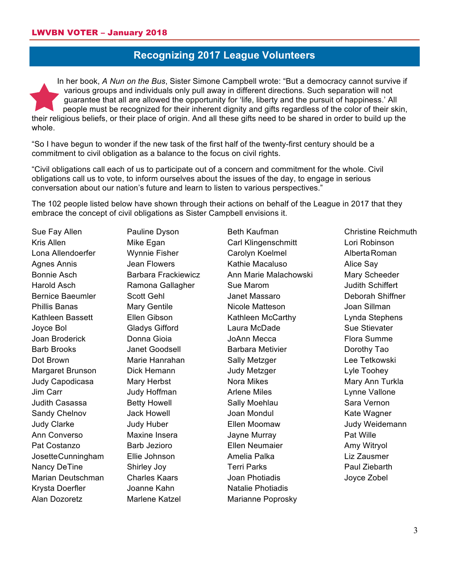## **Recognizing 2017 League Volunteers**

In her book, *A Nun on the Bus*, Sister Simone Campbell wrote: "But a democracy cannot survive if various groups and individuals only pull away in different directions. Such separation will not guarantee that all are allowed the opportunity for 'life, liberty and the pursuit of happiness.' All people must be recognized for their inherent dignity and gifts regardless of the color of their skin, their religious beliefs, or their place of origin. And all these gifts need to be shared in order to build up the whole.

"So I have begun to wonder if the new task of the first half of the twenty-first century should be a commitment to civil obligation as a balance to the focus on civil rights.

"Civil obligations call each of us to participate out of a concern and commitment for the whole. Civil obligations call us to vote, to inform ourselves about the issues of the day, to engage in serious conversation about our nation's future and learn to listen to various perspectives."

The 102 people listed below have shown through their actions on behalf of the League in 2017 that they embrace the concept of civil obligations as Sister Campbell envisions it.

Sue Fay Allen Kris Allen Lona Allendoerfer Agnes Annis Bonnie Asch Harold Asch Bernice Baeumler Phillis Banas Kathleen Bassett Joyce Bol Joan Broderick Barb Brooks Dot Brown Margaret Brunson Judy Capodicasa Jim Carr Judith Casassa Sandy Chelnov Judy Clarke Ann Converso Pat Costanzo JosetteCunningham Nancy DeTine Marian Deutschman Krysta Doerfler Alan Dozoretz

Pauline Dyson Mike Egan Wynnie Fisher Jean Flowers Barbara Frackiewicz Ramona Gallagher Scott Gehl Mary Gentile Ellen Gibson Gladys Gifford Donna Gioia Janet Goodsell Marie Hanrahan Dick Hemann Mary Herbst Judy Hoffman Betty Howell Jack Howell Judy Huber Maxine Insera Barb Jezioro Ellie Johnson Shirley Joy Charles Kaars Joanne Kahn Marlene Katzel

Beth Kaufman Carl Klingenschmitt Carolyn Koelmel Kathie Macaluso Ann Marie Malachowski Sue Marom Janet Massaro Nicole Matteson Kathleen McCarthy Laura McDade JoAnn Mecca Barbara Metivier Sally Metzger Judy Metzger Nora Mikes Arlene Miles Sally Moehlau Joan Mondul Ellen Moomaw Jayne Murray Ellen Neumaier Amelia Palka Terri Parks Joan Photiadis Natalie Photiadis Marianne Poprosky

Christine Reichmuth Lori Robinson AlbertaRoman Alice Say Mary Scheeder Judith Schiffert Deborah Shiffner Joan Sillman Lynda Stephens Sue Stievater Flora Summe Dorothy Tao Lee Tetkowski Lyle Toohey Mary Ann Turkla Lynne Vallone Sara Vernon Kate Wagner Judy Weidemann Pat Wille Amy Witryol Liz Zausmer Paul Ziebarth Joyce Zobel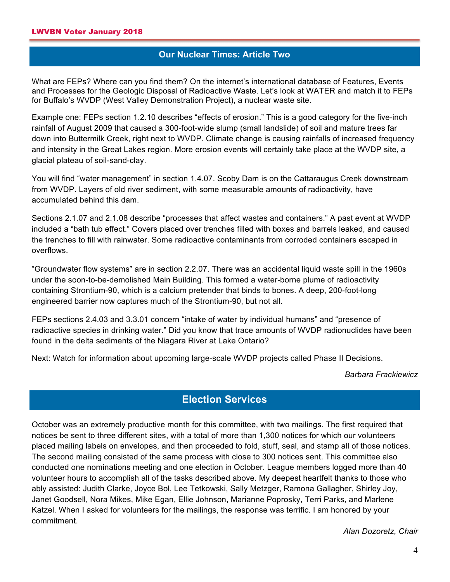## **Our Nuclear Times: Article Two**

What are FEPs? Where can you find them? On the internet's international database of Features, Events and Processes for the Geologic Disposal of Radioactive Waste. Let's look at WATER and match it to FEPs for Buffalo's WVDP (West Valley Demonstration Project), a nuclear waste site.

Example one: FEPs section 1.2.10 describes "effects of erosion." This is a good category for the five-inch rainfall of August 2009 that caused a 300-foot-wide slump (small landslide) of soil and mature trees far down into Buttermilk Creek, right next to WVDP. Climate change is causing rainfalls of increased frequency and intensity in the Great Lakes region. More erosion events will certainly take place at the WVDP site, a glacial plateau of soil-sand-clay.

You will find "water management" in section 1.4.07. Scoby Dam is on the Cattaraugus Creek downstream from WVDP. Layers of old river sediment, with some measurable amounts of radioactivity, have accumulated behind this dam.

Sections 2.1.07 and 2.1.08 describe "processes that affect wastes and containers." A past event at WVDP included a "bath tub effect." Covers placed over trenches filled with boxes and barrels leaked, and caused the trenches to fill with rainwater. Some radioactive contaminants from corroded containers escaped in overflows.

"Groundwater flow systems" are in section 2.2.07. There was an accidental liquid waste spill in the 1960s under the soon-to-be-demolished Main Building. This formed a water-borne plume of radioactivity containing Strontium-90, which is a calcium pretender that binds to bones. A deep, 200-foot-long engineered barrier now captures much of the Strontium-90, but not all.

FEPs sections 2.4.03 and 3.3.01 concern "intake of water by individual humans" and "presence of radioactive species in drinking water." Did you know that trace amounts of WVDP radionuclides have been found in the delta sediments of the Niagara River at Lake Ontario?

Next: Watch for information about upcoming large-scale WVDP projects called Phase II Decisions.

*Barbara Frackiewicz*

# **Election Services**

October was an extremely productive month for this committee, with two mailings. The first required that notices be sent to three different sites, with a total of more than 1,300 notices for which our volunteers placed mailing labels on envelopes, and then proceeded to fold, stuff, seal, and stamp all of those notices. The second mailing consisted of the same process with close to 300 notices sent. This committee also conducted one nominations meeting and one election in October. League members logged more than 40 volunteer hours to accomplish all of the tasks described above. My deepest heartfelt thanks to those who ably assisted: Judith Clarke, Joyce Bol, Lee Tetkowski, Sally Metzger, Ramona Gallagher, Shirley Joy, Janet Goodsell, Nora Mikes, Mike Egan, Ellie Johnson, Marianne Poprosky, Terri Parks, and Marlene Katzel. When I asked for volunteers for the mailings, the response was terrific. I am honored by your commitment.

*Alan Dozoretz, Chair*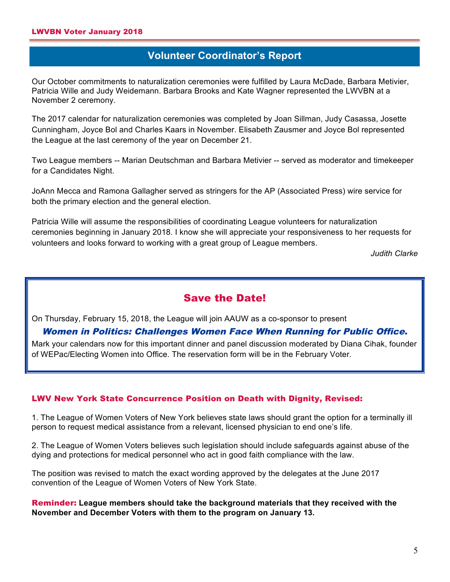# **Volunteer Coordinator's Report**

Our October commitments to naturalization ceremonies were fulfilled by Laura McDade, Barbara Metivier, Patricia Wille and Judy Weidemann. Barbara Brooks and Kate Wagner represented the LWVBN at a November 2 ceremony.

The 2017 calendar for naturalization ceremonies was completed by Joan Sillman, Judy Casassa, Josette Cunningham, Joyce Bol and Charles Kaars in November. Elisabeth Zausmer and Joyce Bol represented the League at the last ceremony of the year on December 21.

Two League members -- Marian Deutschman and Barbara Metivier -- served as moderator and timekeeper for a Candidates Night.

JoAnn Mecca and Ramona Gallagher served as stringers for the AP (Associated Press) wire service for both the primary election and the general election.

Patricia Wille will assume the responsibilities of coordinating League volunteers for naturalization ceremonies beginning in January 2018. I know she will appreciate your responsiveness to her requests for volunteers and looks forward to working with a great group of League members.

*Judith Clarke*

## Save the Date!

On Thursday, February 15, 2018, the League will join AAUW as a co-sponsor to present

#### Women in Politics: Challenges Women Face When Running for Public Office.

Mark your calendars now for this important dinner and panel discussion moderated by Diana Cihak, founder of WEPac/Electing Women into Office. The reservation form will be in the February Voter.

#### LWV New York State Concurrence Position on Death with Dignity, Revised:

1. The League of Women Voters of New York believes state laws should grant the option for a terminally ill person to request medical assistance from a relevant, licensed physician to end one's life.

2. The League of Women Voters believes such legislation should include safeguards against abuse of the dying and protections for medical personnel who act in good faith compliance with the law.

The position was revised to match the exact wording approved by the delegates at the June 2017 convention of the League of Women Voters of New York State.

Reminder: **League members should take the background materials that they received with the November and December Voters with them to the program on January 13.**